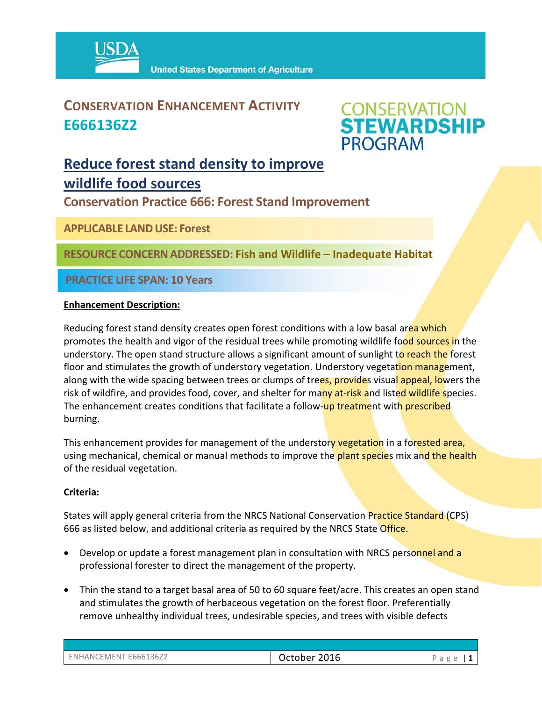

### **CONSERVATION ENHANCEMENT ACTIVITY E666136Z2**



### **Reduce forest stand density to improve wildlife food sources**

**Conservation Practice 666: Forest Stand Improvement** 

**APPLICABLE LANDUSE: Forest**

**RESOURCE CONCERNADDRESSED: Fish and Wildlife – Inadequate Habitat**

**PRACTICE LIFE SPAN: 10 Years**

#### **Enhancement Description:**

Reducing forest stand density creates open forest conditions with a low basal area which promotes the health and vigor of the residual trees while promoting wildlife food sources in the understory. The open stand structure allows a significant amount of sunlight to reach the forest floor and stimulates the growth of understory vegetation. Understory vegetation management, along with the wide spacing between trees or clumps of trees, provides visual appeal, lowers the risk of wildfire, and provides food, cover, and shelter for many at-risk and listed wildlife species. The enhancement creates conditions that facilitate a follow-up treatment with prescribed burning.

This enhancement provides for management of the understory vegetation in a forested area, using mechanical, chemical or manual methods to improve the plant species mix and the health of the residual vegetation.

#### **Criteria:**

States will apply general criteria from the NRCS National Conservation Practice Standard (CPS) 666 as listed below, and additional criteria as required by the NRCS State Office.

- Develop or update a forest management plan in consultation with NRCS personnel and a professional forester to direct the management of the property.
- Thin the stand to a target basal area of 50 to 60 square feet/acre. This creates an open stand and stimulates the growth of herbaceous vegetation on the forest floor. Preferentially remove unhealthy individual trees, undesirable species, and trees with visible defects

| ENHANCEMENT E666136Z2 | 2016<br>October | ◡ |
|-----------------------|-----------------|---|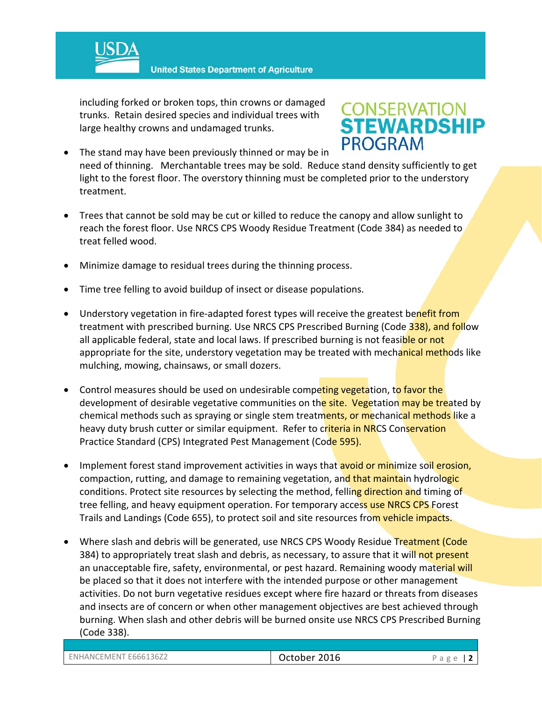

**United States Department of Agriculture** 

including forked or broken tops, thin crowns or damaged trunks. Retain desired species and individual trees with large healthy crowns and undamaged trunks.

# **CONSERVATION<br>STEWARDSHIP PROGRAM**

- The stand may have been previously thinned or may be in need of thinning. Merchantable trees may be sold. Reduce stand density sufficiently to get light to the forest floor. The overstory thinning must be completed prior to the understory treatment.
- Trees that cannot be sold may be cut or killed to reduce the canopy and allow sunlight to reach the forest floor. Use NRCS CPS Woody Residue Treatment (Code 384) as needed to treat felled wood.
- Minimize damage to residual trees during the thinning process.
- Time tree felling to avoid buildup of insect or disease populations.
- Understory vegetation in fire-adapted forest types will receive the greatest benefit from treatment with prescribed burning. Use NRCS CPS Prescribed Burning (Code 338), and follow all applicable federal, state and local laws. If prescribed burning is not feasible or not appropriate for the site, understory vegetation may be treated with mechanical methods like mulching, mowing, chainsaws, or small dozers.
- Control measures should be used on undesirable competing vegetation, to favor the development of desirable vegetative communities on the site. Vegetation may be treated by chemical methods such as spraying or single stem treatments, or mechanical methods like a heavy duty brush cutter or similar equipment. Refer to criteria in NRCS Conservation Practice Standard (CPS) Integrated Pest Management (Code 595).
- Implement forest stand improvement activities in ways that avoid or minimize soil erosion, compaction, rutting, and damage to remaining vegetation, and that maintain hydrologic conditions. Protect site resources by selecting the method, felling direction and timing of tree felling, and heavy equipment operation. For temporary access use NRCS CPS Forest Trails and Landings (Code 655), to protect soil and site resources from vehicle impacts.
- Where slash and debris will be generated, use NRCS CPS Woody Residue Treatment (Code 384) to appropriately treat slash and debris, as necessary, to assure that it will not present an unacceptable fire, safety, environmental, or pest hazard. Remaining woody material will be placed so that it does not interfere with the intended purpose or other management activities. Do not burn vegetative residues except where fire hazard or threats from diseases and insects are of concern or when other management objectives are best achieved through burning. When slash and other debris will be burned onsite use NRCS CPS Prescribed Burning (Code 338).

| <b>CEMENT E666136Z2</b><br>ENHANCF' | 2016<br>October | $\sigma$<br>-<br>d<br>$\overline{\phantom{a}}$<br>∼ |
|-------------------------------------|-----------------|-----------------------------------------------------|
|-------------------------------------|-----------------|-----------------------------------------------------|